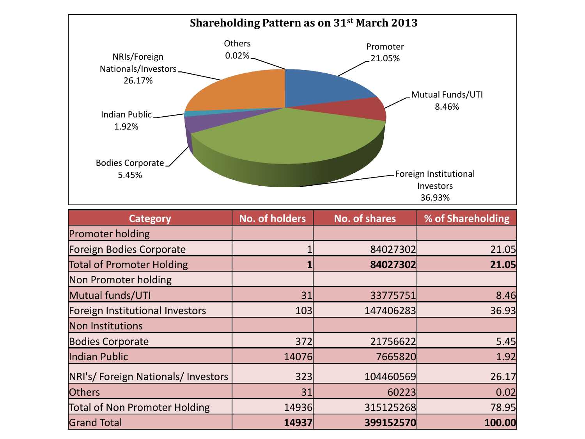

| <b>Category</b>                      | <b>No. of holders</b> | <b>No. of shares</b> | % of Shareholding |
|--------------------------------------|-----------------------|----------------------|-------------------|
| <b>Promoter holding</b>              |                       |                      |                   |
| Foreign Bodies Corporate             |                       | 84027302             | 21.05             |
| <b>Total of Promoter Holding</b>     |                       | 84027302             | 21.05             |
| Non Promoter holding                 |                       |                      |                   |
| Mutual funds/UTI                     | 31                    | 33775751             | 8.46              |
| Foreign Institutional Investors      | 103                   | 147406283            | 36.93             |
| Non Institutions                     |                       |                      |                   |
| <b>Bodies Corporate</b>              | 372                   | 21756622             | 5.45              |
| Indian Public                        | 14076                 | 7665820              | 1.92              |
| NRI's/Foreign Nationals/Investors    | 323                   | 104460569            | 26.17             |
| <b>Others</b>                        | 31                    | 60223                | 0.02              |
| <b>Total of Non Promoter Holding</b> | 14936                 | 315125268            | 78.95             |
| <b>Grand Total</b>                   | 14937                 | 399152570            | 100.00            |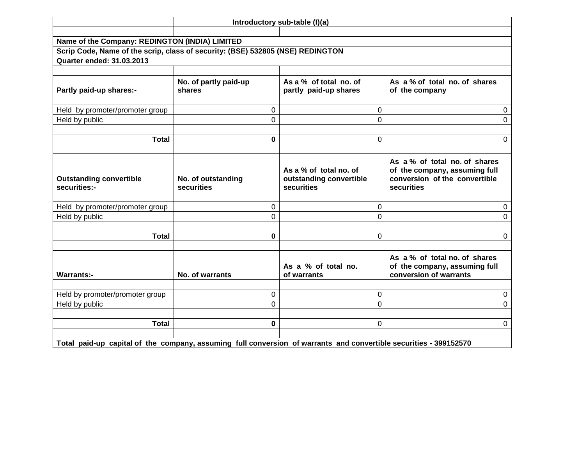|                                                                                                                   |                                  | Introductory sub-table (I)(a)                                   |                                                                                                               |
|-------------------------------------------------------------------------------------------------------------------|----------------------------------|-----------------------------------------------------------------|---------------------------------------------------------------------------------------------------------------|
|                                                                                                                   |                                  |                                                                 |                                                                                                               |
| Name of the Company: REDINGTON (INDIA) LIMITED                                                                    |                                  |                                                                 |                                                                                                               |
| Scrip Code, Name of the scrip, class of security: (BSE) 532805 (NSE) REDINGTON                                    |                                  |                                                                 |                                                                                                               |
| <b>Quarter ended: 31.03.2013</b>                                                                                  |                                  |                                                                 |                                                                                                               |
|                                                                                                                   |                                  |                                                                 |                                                                                                               |
| Partly paid-up shares:-                                                                                           | No. of partly paid-up<br>shares  | As a % of total no. of<br>partly paid-up shares                 | As a % of total no. of shares<br>of the company                                                               |
|                                                                                                                   |                                  |                                                                 |                                                                                                               |
| Held by promoter/promoter group                                                                                   | 0                                | 0                                                               | $\mathbf 0$                                                                                                   |
| Held by public                                                                                                    | $\Omega$                         | $\Omega$                                                        | $\mathbf 0$                                                                                                   |
|                                                                                                                   |                                  |                                                                 |                                                                                                               |
| <b>Total</b>                                                                                                      | 0                                | $\Omega$                                                        | $\mathbf{0}$                                                                                                  |
|                                                                                                                   |                                  |                                                                 |                                                                                                               |
| <b>Outstanding convertible</b><br>securities:-                                                                    | No. of outstanding<br>securities | As a % of total no. of<br>outstanding convertible<br>securities | As a % of total no. of shares<br>of the company, assuming full<br>conversion of the convertible<br>securities |
|                                                                                                                   |                                  |                                                                 |                                                                                                               |
| Held by promoter/promoter group                                                                                   | $\Omega$                         | $\Omega$                                                        | $\Omega$                                                                                                      |
| Held by public                                                                                                    | $\Omega$                         | $\Omega$                                                        | $\Omega$                                                                                                      |
|                                                                                                                   |                                  |                                                                 |                                                                                                               |
| <b>Total</b>                                                                                                      | 0                                | $\Omega$                                                        | $\mathbf{0}$                                                                                                  |
|                                                                                                                   |                                  |                                                                 |                                                                                                               |
| <b>Warrants:-</b>                                                                                                 | No. of warrants                  | As a % of total no.<br>of warrants                              | As a % of total no. of shares<br>of the company, assuming full<br>conversion of warrants                      |
|                                                                                                                   |                                  |                                                                 |                                                                                                               |
| Held by promoter/promoter group                                                                                   | 0                                | 0                                                               | $\mathbf 0$                                                                                                   |
| Held by public                                                                                                    | $\Omega$                         | $\Omega$                                                        | 0                                                                                                             |
|                                                                                                                   |                                  |                                                                 |                                                                                                               |
| <b>Total</b>                                                                                                      | 0                                | 0                                                               | $\mathbf 0$                                                                                                   |
| Total paid-up capital of the company, assuming full conversion of warrants and convertible securities - 399152570 |                                  |                                                                 |                                                                                                               |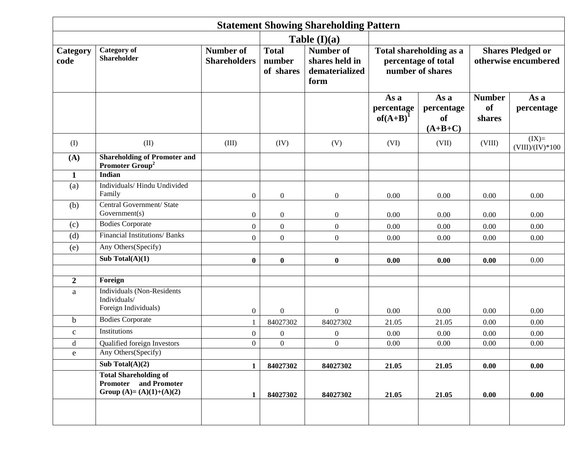|                  | <b>Statement Showing Shareholding Pattern</b>                                            |                                         |                                     |                                                              |                                   |                                                                    |                                                  |                              |  |  |  |  |  |
|------------------|------------------------------------------------------------------------------------------|-----------------------------------------|-------------------------------------|--------------------------------------------------------------|-----------------------------------|--------------------------------------------------------------------|--------------------------------------------------|------------------------------|--|--|--|--|--|
|                  |                                                                                          |                                         |                                     | Table $(I)(a)$                                               |                                   |                                                                    |                                                  |                              |  |  |  |  |  |
| Category<br>code | <b>Category</b> of<br><b>Shareholder</b>                                                 | <b>Number of</b><br><b>Shareholders</b> | <b>Total</b><br>number<br>of shares | <b>Number of</b><br>shares held in<br>dematerialized<br>form |                                   | Total shareholding as a<br>percentage of total<br>number of shares | <b>Shares Pledged or</b><br>otherwise encumbered |                              |  |  |  |  |  |
|                  |                                                                                          |                                         |                                     |                                                              | As a<br>percentage<br>$of(A+B)^1$ | As a<br>percentage<br><b>of</b><br>$(A+B+C)$                       | <b>Number</b><br><b>of</b><br>shares             | As a<br>percentage           |  |  |  |  |  |
| (I)              | (II)                                                                                     | (III)                                   | (IV)                                | (V)                                                          | (VI)                              | (VII)                                                              | (VIII)                                           | $(IX)=$<br>$(VIII)/(IV)*100$ |  |  |  |  |  |
| (A)              | <b>Shareholding of Promoter and</b><br>Promoter Group <sup>2</sup>                       |                                         |                                     |                                                              |                                   |                                                                    |                                                  |                              |  |  |  |  |  |
| $\mathbf{1}$     | <b>Indian</b>                                                                            |                                         |                                     |                                                              |                                   |                                                                    |                                                  |                              |  |  |  |  |  |
| (a)              | Individuals/Hindu Undivided<br>Family                                                    | $\boldsymbol{0}$                        | $\boldsymbol{0}$                    | $\boldsymbol{0}$                                             | 0.00                              | 0.00                                                               | 0.00                                             | 0.00                         |  |  |  |  |  |
| (b)              | Central Government/ State<br>Government(s)                                               | $\boldsymbol{0}$                        | $\boldsymbol{0}$                    | $\boldsymbol{0}$                                             | 0.00<br>0.00                      |                                                                    | 0.00                                             | 0.00                         |  |  |  |  |  |
| (c)              | <b>Bodies Corporate</b>                                                                  | $\boldsymbol{0}$                        | $\boldsymbol{0}$                    | $\boldsymbol{0}$                                             | 0.00                              | 0.00                                                               |                                                  | 0.00                         |  |  |  |  |  |
| (d)              | Financial Institutions/ Banks                                                            | $\overline{0}$                          | $\boldsymbol{0}$                    | $\boldsymbol{0}$                                             | 0.00                              | 0.00                                                               | 0.00<br>0.00                                     | 0.00                         |  |  |  |  |  |
| (e)              | Any Others(Specify)                                                                      |                                         |                                     |                                                              |                                   |                                                                    |                                                  |                              |  |  |  |  |  |
|                  | Sub Total $(A)(1)$                                                                       | $\bf{0}$                                | $\bf{0}$                            | $\bf{0}$                                                     | 0.00                              | 0.00                                                               | 0.00                                             | 0.00                         |  |  |  |  |  |
|                  |                                                                                          |                                         |                                     |                                                              |                                   |                                                                    |                                                  |                              |  |  |  |  |  |
| $\boldsymbol{2}$ | Foreign                                                                                  |                                         |                                     |                                                              |                                   |                                                                    |                                                  |                              |  |  |  |  |  |
| $\rm{a}$         | <b>Individuals (Non-Residents</b><br>Individuals/<br>Foreign Individuals)                | $\boldsymbol{0}$                        | $\boldsymbol{0}$                    | $\boldsymbol{0}$                                             | 0.00                              | 0.00                                                               | 0.00                                             | 0.00                         |  |  |  |  |  |
| $\mathbf b$      | <b>Bodies</b> Corporate                                                                  |                                         | 84027302                            | 84027302                                                     | 21.05                             | 21.05                                                              | 0.00                                             | 0.00                         |  |  |  |  |  |
| $\mathbf{C}$     | Institutions                                                                             | $\boldsymbol{0}$                        | $\boldsymbol{0}$                    | $\boldsymbol{0}$                                             | 0.00                              | 0.00                                                               | 0.00                                             | 0.00                         |  |  |  |  |  |
| d                | Qualified foreign Investors                                                              | $\boldsymbol{0}$                        | $\boldsymbol{0}$                    | $\boldsymbol{0}$                                             | 0.00                              | 0.00                                                               | 0.00                                             | 0.00                         |  |  |  |  |  |
| $\mathbf{e}$     | Any Others(Specify)                                                                      |                                         |                                     |                                                              |                                   |                                                                    |                                                  |                              |  |  |  |  |  |
|                  | Sub Total $(A)(2)$                                                                       | $\mathbf{1}$                            | 84027302                            | 84027302                                                     | 21.05                             | 21.05                                                              | 0.00                                             | 0.00                         |  |  |  |  |  |
|                  | <b>Total Shareholding of</b><br><b>Promoter</b> and Promoter<br>Group (A)= (A)(1)+(A)(2) | $\mathbf{1}$                            | 84027302                            | 84027302                                                     | 21.05                             | 21.05                                                              | 0.00                                             | 0.00                         |  |  |  |  |  |
|                  |                                                                                          |                                         |                                     |                                                              |                                   |                                                                    |                                                  |                              |  |  |  |  |  |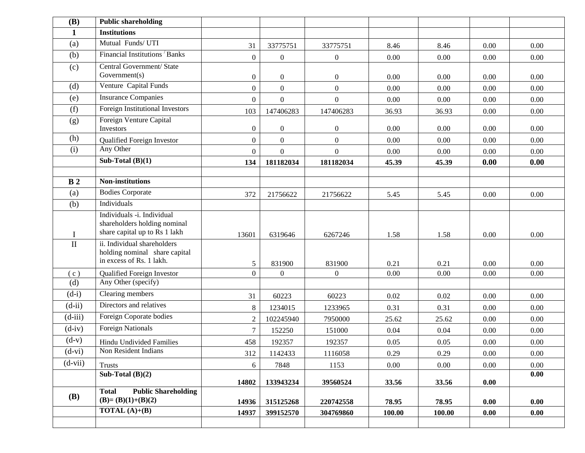| (B)            | <b>Public shareholding</b>                                                                  |                  |                  |                  |        |        |          |      |
|----------------|---------------------------------------------------------------------------------------------|------------------|------------------|------------------|--------|--------|----------|------|
| $\mathbf{1}$   | <b>Institutions</b>                                                                         |                  |                  |                  |        |        |          |      |
| (a)            | Mutual Funds/UTI                                                                            | 31               | 33775751         | 33775751         | 8.46   | 8.46   | 0.00     | 0.00 |
| (b)            | Financial Institutions Banks                                                                | $\boldsymbol{0}$ | $\boldsymbol{0}$ | $\boldsymbol{0}$ | 0.00   | 0.00   | 0.00     | 0.00 |
| (c)            | Central Government/ State                                                                   |                  |                  |                  |        |        |          |      |
|                | Government(s)                                                                               | $\boldsymbol{0}$ | $\overline{0}$   | $\boldsymbol{0}$ | 0.00   | 0.00   | 0.00     | 0.00 |
| (d)            | Venture Capital Funds                                                                       | $\overline{0}$   | $\boldsymbol{0}$ | $\overline{0}$   | 0.00   | 0.00   | 0.00     | 0.00 |
| (e)            | <b>Insurance Companies</b>                                                                  | $\boldsymbol{0}$ | $\boldsymbol{0}$ | $\boldsymbol{0}$ | 0.00   | 0.00   | 0.00     | 0.00 |
| (f)            | Foreign Institutional Investors                                                             | 103              | 147406283        | 147406283        | 36.93  | 36.93  | 0.00     | 0.00 |
| (g)            | Foreign Venture Capital<br>Investors                                                        | $\boldsymbol{0}$ | $\boldsymbol{0}$ | $\boldsymbol{0}$ | 0.00   | 0.00   | 0.00     | 0.00 |
| (h)            | Qualified Foreign Investor                                                                  | $\boldsymbol{0}$ | $\boldsymbol{0}$ | $\boldsymbol{0}$ | 0.00   | 0.00   | 0.00     | 0.00 |
| (i)            | Any Other                                                                                   | $\mathbf{0}$     | $\boldsymbol{0}$ | $\boldsymbol{0}$ | 0.00   | 0.00   | 0.00     | 0.00 |
|                | Sub-Total $(B)(1)$                                                                          | 134              | 181182034        | 181182034        | 45.39  | 45.39  | 0.00     | 0.00 |
|                |                                                                                             |                  |                  |                  |        |        |          |      |
| B <sub>2</sub> | <b>Non-institutions</b>                                                                     |                  |                  |                  |        |        |          |      |
| (a)            | <b>Bodies Corporate</b>                                                                     | 372              | 21756622         | 21756622         | 5.45   | 5.45   | 0.00     | 0.00 |
| (b)            | Individuals                                                                                 |                  |                  |                  |        |        |          |      |
| $\bf{I}$       | Individuals -i. Individual<br>shareholders holding nominal<br>share capital up to Rs 1 lakh | 13601            | 6319646          | 6267246          | 1.58   | 1.58   | 0.00     | 0.00 |
| $\rm II$       | ii. Individual shareholders<br>holding nominal share capital<br>in excess of Rs. 1 lakh.    | 5                | 831900           | 831900           | 0.21   | 0.21   | 0.00     | 0.00 |
| (c)            | Qualified Foreign Investor                                                                  | $\boldsymbol{0}$ | $\mathbf{0}$     | $\overline{0}$   | 0.00   | 0.00   | 0.00     | 0.00 |
| (d)            | Any Other (specify)                                                                         |                  |                  |                  |        |        |          |      |
| $(d-i)$        | Clearing members                                                                            | 31               | 60223            | 60223            | 0.02   | 0.02   | 0.00     | 0.00 |
| $(d-ii)$       | Directors and relatives                                                                     | $8\,$            | 1234015          | 1233965          | 0.31   | 0.31   | $0.00\,$ | 0.00 |
| $(d-iii)$      | Foreign Coporate bodies                                                                     | $\boldsymbol{2}$ | 102245940        | 7950000          | 25.62  | 25.62  | 0.00     | 0.00 |
| $(d-iv)$       | <b>Foreign Nationals</b>                                                                    | $\tau$           | 152250           | 151000           | 0.04   | 0.04   | 0.00     | 0.00 |
| $(d-v)$        | <b>Hindu Undivided Families</b>                                                             | 458              | 192357           | 192357           | 0.05   | 0.05   | 0.00     | 0.00 |
| $(d-vi)$       | Non Resident Indians                                                                        | 312              | 1142433          | 1116058          | 0.29   | 0.29   | 0.00     | 0.00 |
| $(d-vii)$      | <b>Trusts</b>                                                                               | 6                | 7848             | 1153             | 0.00   | 0.00   | 0.00     | 0.00 |
|                | Sub-Total $(B)(2)$                                                                          | 14802            | 133943234        | 39560524         | 33.56  | 33.56  | 0.00     | 0.00 |
|                | <b>Public Shareholding</b><br><b>Total</b>                                                  |                  |                  |                  |        |        |          |      |
| <b>(B)</b>     | $(B)=(B)(1)+(B)(2)$                                                                         | 14936            | 315125268        | 220742558        | 78.95  | 78.95  | 0.00     | 0.00 |
|                | <b>TOTAL</b> $(A)+(B)$                                                                      | 14937            | 399152570        | 304769860        | 100.00 | 100.00 | 0.00     | 0.00 |
|                |                                                                                             |                  |                  |                  |        |        |          |      |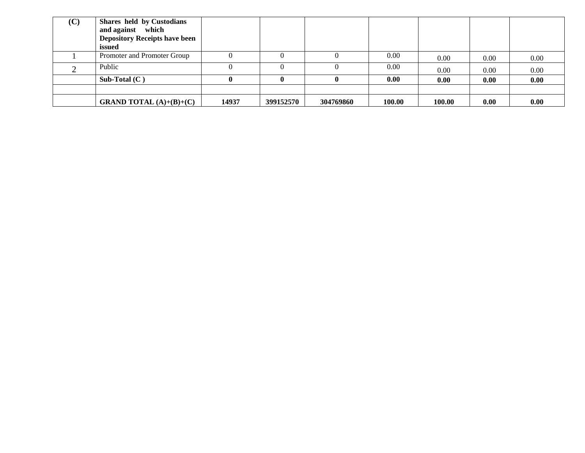| (C) | Shares held by Custodians<br>and against which<br><b>Depository Receipts have been</b><br>issued |       |           |           |        |        |      |      |
|-----|--------------------------------------------------------------------------------------------------|-------|-----------|-----------|--------|--------|------|------|
|     | Promoter and Promoter Group                                                                      |       |           |           | 0.00   | 0.00   | 0.00 | 0.00 |
|     | Public                                                                                           |       |           |           | 0.00   | 0.00   | 0.00 | 0.00 |
|     | Sub-Total $(C)$                                                                                  |       |           |           | 0.00   | 0.00   | 0.00 | 0.00 |
|     |                                                                                                  |       |           |           |        |        |      |      |
|     | <b>GRAND TOTAL</b> $(A)+(B)+(C)$                                                                 | 14937 | 399152570 | 304769860 | 100.00 | 100.00 | 0.00 | 0.00 |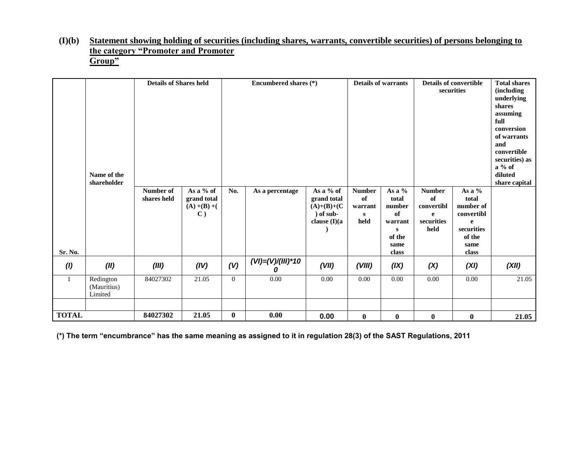#### **(I)(b) Statement showing holding of securities (including shares, warrants, convertible securities) of persons belonging to the category "Promoter and Promoter Group"**

|              | Name of the<br>shareholder          | <b>Details of Shares held</b> |                                                               | Encumbered shares (*) |                        |                                                                                | <b>Details of warrants</b>                  |                                                                                    | <b>Details of convertible</b><br>securities                  |                                                                                                     | <b>Total shares</b><br><i>(including)</i><br>underlying<br>shares<br>assuming<br>full<br>conversion<br>of warrants<br>and<br>convertible<br>securities) as<br>$a\%$ of<br>diluted<br>share capital |
|--------------|-------------------------------------|-------------------------------|---------------------------------------------------------------|-----------------------|------------------------|--------------------------------------------------------------------------------|---------------------------------------------|------------------------------------------------------------------------------------|--------------------------------------------------------------|-----------------------------------------------------------------------------------------------------|----------------------------------------------------------------------------------------------------------------------------------------------------------------------------------------------------|
| Sr. No.      |                                     | Number of<br>shares held      | As a % of<br>grand total<br>$(A) + (B) + ($<br>$\mathbf{C}$ ) | No.                   | As a percentage        | As a % of<br>grand total<br>$(A)+(B)+(C)$<br>$\int$ of sub-<br>clause $(I)(a)$ | <b>Number</b><br>of<br>warrant<br>S<br>held | As a %<br>total<br>number<br>of<br>warrant<br>${\bf S}$<br>of the<br>same<br>class | <b>Number</b><br>of<br>convertibl<br>e<br>securities<br>held | As a %<br>total<br>number of<br>convertibl<br>$\mathbf{e}$<br>securities<br>of the<br>same<br>class |                                                                                                                                                                                                    |
| (1)          | (II)                                | (III)                         | (IV)                                                          | (V)                   | $(VI) = (V)/(III)^*10$ | (VII)                                                                          | (VIII)                                      | (IX)                                                                               | (X)                                                          | (XI)                                                                                                | (XII)                                                                                                                                                                                              |
| 1            | Redington<br>(Mauritius)<br>Limited | 84027302                      | 21.05                                                         | $\overline{0}$        | $0.00\,$               | 0.00                                                                           | 0.00                                        | $0.00\,$                                                                           | 0.00                                                         | 0.00                                                                                                | 21.05                                                                                                                                                                                              |
| <b>TOTAL</b> |                                     | 84027302                      | 21.05                                                         | $\bf{0}$              | 0.00                   | 0.00                                                                           | $\bf{0}$                                    | $\bf{0}$                                                                           | $\bf{0}$                                                     | $\bf{0}$                                                                                            | 21.05                                                                                                                                                                                              |

**(\*) The term "encumbrance" has the same meaning as assigned to it in regulation 28(3) of the SAST Regulations, 2011**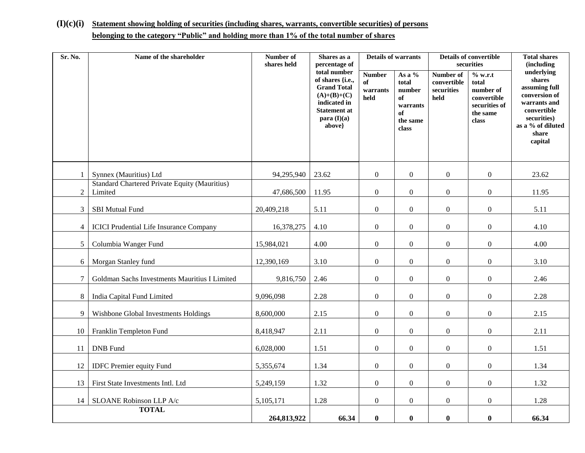## **(I)(c)(i) Statement showing holding of securities (including shares, warrants, convertible securities) of persons belonging to the category "Public" and holding more than 1% of the total number of shares**

| Sr. No.        | Name of the shareholder                                         | Number of<br>shares held | Shares as a<br>percentage of                                                                                                              | <b>Details of warrants</b>              |                                                                        |                                                | <b>Details of convertible</b><br>securities                                        | <b>Total shares</b><br>(including                                                                                                             |
|----------------|-----------------------------------------------------------------|--------------------------|-------------------------------------------------------------------------------------------------------------------------------------------|-----------------------------------------|------------------------------------------------------------------------|------------------------------------------------|------------------------------------------------------------------------------------|-----------------------------------------------------------------------------------------------------------------------------------------------|
|                |                                                                 |                          | total number<br>of shares {i.e.,<br><b>Grand Total</b><br>$(A)+(B)+(C)$<br>indicated in<br><b>Statement at</b><br>para $(I)(a)$<br>above} | <b>Number</b><br>of<br>warrants<br>held | As a %<br>total<br>number<br>of<br>warrants<br>of<br>the same<br>class | Number of<br>convertible<br>securities<br>held | % w.r.t<br>total<br>number of<br>convertible<br>securities of<br>the same<br>class | underlying<br>shares<br>assuming full<br>conversion of<br>warrants and<br>convertible<br>securities)<br>as a % of diluted<br>share<br>capital |
| $\mathbf{1}$   | Synnex (Mauritius) Ltd                                          | 94,295,940               | 23.62                                                                                                                                     | $\boldsymbol{0}$                        | $\overline{0}$                                                         | $\boldsymbol{0}$                               | $\boldsymbol{0}$                                                                   | 23.62                                                                                                                                         |
| $\overline{2}$ | <b>Standard Chartered Private Equity (Mauritius)</b><br>Limited | 47,686,500               | 11.95                                                                                                                                     | $\boldsymbol{0}$                        | $\boldsymbol{0}$                                                       | $\boldsymbol{0}$                               | $\boldsymbol{0}$                                                                   | 11.95                                                                                                                                         |
| $\overline{3}$ | <b>SBI</b> Mutual Fund                                          | 20,409,218               | 5.11                                                                                                                                      | $\boldsymbol{0}$                        | $\boldsymbol{0}$                                                       | $\boldsymbol{0}$                               | $\boldsymbol{0}$                                                                   | 5.11                                                                                                                                          |
| $\overline{4}$ | <b>ICICI Prudential Life Insurance Company</b>                  | 16,378,275               | 4.10                                                                                                                                      | $\boldsymbol{0}$                        | $\boldsymbol{0}$                                                       | $\boldsymbol{0}$                               | $\boldsymbol{0}$                                                                   | 4.10                                                                                                                                          |
| 5              | Columbia Wanger Fund                                            | 15,984,021               | 4.00                                                                                                                                      | $\overline{0}$                          | $\boldsymbol{0}$                                                       | $\boldsymbol{0}$                               | $\boldsymbol{0}$                                                                   | 4.00                                                                                                                                          |
| 6              | Morgan Stanley fund                                             | 12,390,169               | 3.10                                                                                                                                      | $\boldsymbol{0}$                        | $\boldsymbol{0}$                                                       | $\boldsymbol{0}$                               | $\boldsymbol{0}$                                                                   | 3.10                                                                                                                                          |
| $\tau$         | Goldman Sachs Investments Mauritius I Limited                   | 9,816,750                | 2.46                                                                                                                                      | $\boldsymbol{0}$                        | $\boldsymbol{0}$                                                       | $\boldsymbol{0}$                               | $\boldsymbol{0}$                                                                   | 2.46                                                                                                                                          |
| 8              | India Capital Fund Limited                                      | 9,096,098                | 2.28                                                                                                                                      | $\overline{0}$                          | $\boldsymbol{0}$                                                       | $\boldsymbol{0}$                               | $\boldsymbol{0}$                                                                   | 2.28                                                                                                                                          |
| 9              | Wishbone Global Investments Holdings                            | 8,600,000                | 2.15                                                                                                                                      | $\overline{0}$                          | $\overline{0}$                                                         | $\overline{0}$                                 | $\mathbf{0}$                                                                       | 2.15                                                                                                                                          |
| 10             | Franklin Templeton Fund                                         | 8,418,947                | 2.11                                                                                                                                      | $\boldsymbol{0}$                        | $\overline{0}$                                                         | $\boldsymbol{0}$                               | $\boldsymbol{0}$                                                                   | 2.11                                                                                                                                          |
| 11             | <b>DNB</b> Fund                                                 | 6,028,000                | 1.51                                                                                                                                      | $\boldsymbol{0}$                        | $\boldsymbol{0}$                                                       | $\boldsymbol{0}$                               | $\boldsymbol{0}$                                                                   | 1.51                                                                                                                                          |
| 12             | <b>IDFC</b> Premier equity Fund                                 | 5,355,674                | 1.34                                                                                                                                      | $\overline{0}$                          | $\boldsymbol{0}$                                                       | $\boldsymbol{0}$                               | $\boldsymbol{0}$                                                                   | 1.34                                                                                                                                          |
| 13             | First State Investments Intl. Ltd                               | 5,249,159                | 1.32                                                                                                                                      | $\overline{0}$                          | $\boldsymbol{0}$                                                       | $\boldsymbol{0}$                               | $\boldsymbol{0}$                                                                   | 1.32                                                                                                                                          |
| 14             | SLOANE Robinson LLP A/c                                         | 5,105,171                | 1.28                                                                                                                                      | $\boldsymbol{0}$                        | $\boldsymbol{0}$                                                       | $\boldsymbol{0}$                               | $\boldsymbol{0}$                                                                   | 1.28                                                                                                                                          |
|                | <b>TOTAL</b>                                                    | 264,813,922              | 66.34                                                                                                                                     | $\bf{0}$                                | $\bf{0}$                                                               | $\bf{0}$                                       | $\pmb{0}$                                                                          | 66.34                                                                                                                                         |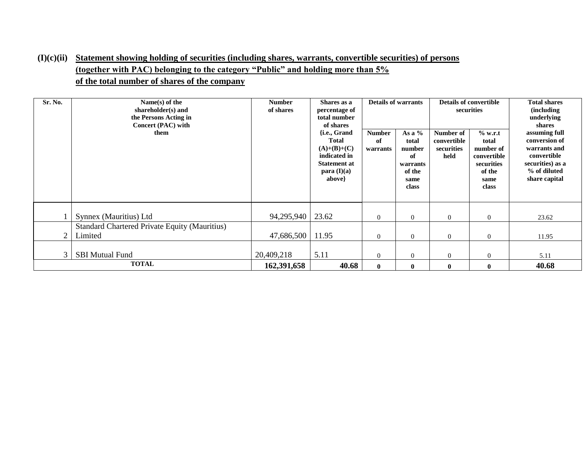### **(I)(c)(ii) Statement showing holding of securities (including shares, warrants, convertible securities) of persons (together with PAC) belonging to the category "Public" and holding more than 5% of the total number of shares of the company**

| Sr. No.        | Name(s) of the<br>shareholder(s) and<br>the Persons Acting in<br>Concert (PAC) with<br>them | <b>Number</b><br>of shares | Shares as a<br>percentage of<br>total number<br>of shares<br>{ <i>i.e.</i> , Grand<br><b>Total</b><br>$(A)+(B)+(C)$<br>indicated in<br><b>Statement at</b><br>para (I)(a)<br>above} | <b>Details of warrants</b><br><b>Number</b><br>of<br>warrants | securities<br>As a $%$<br>% w.r.t<br>Number of<br>convertible<br>total<br>total<br>securities<br>number<br>of<br>held<br>securities<br>warrants<br>of the<br>of the<br>same<br>same<br>class<br>class |              | <b>Details of convertible</b><br>number of<br>convertible | <b>Total shares</b><br><i>(including)</i><br>underlying<br>shares<br>assuming full<br>conversion of<br>warrants and<br>convertible<br>securities) as a<br>% of diluted<br>share capital |
|----------------|---------------------------------------------------------------------------------------------|----------------------------|-------------------------------------------------------------------------------------------------------------------------------------------------------------------------------------|---------------------------------------------------------------|-------------------------------------------------------------------------------------------------------------------------------------------------------------------------------------------------------|--------------|-----------------------------------------------------------|-----------------------------------------------------------------------------------------------------------------------------------------------------------------------------------------|
|                | Synnex (Mauritius) Ltd                                                                      | 94,295,940   23.62         |                                                                                                                                                                                     | $\mathbf{0}$                                                  | $\overline{0}$                                                                                                                                                                                        | $\Omega$     | $\overline{0}$                                            | 23.62                                                                                                                                                                                   |
|                | <b>Standard Chartered Private Equity (Mauritius)</b>                                        |                            |                                                                                                                                                                                     |                                                               |                                                                                                                                                                                                       |              |                                                           |                                                                                                                                                                                         |
| $\overline{2}$ | Limited                                                                                     | 47,686,500                 | 11.95                                                                                                                                                                               | $\theta$                                                      | $\Omega$                                                                                                                                                                                              | $\theta$     | $\overline{0}$                                            | 11.95                                                                                                                                                                                   |
|                |                                                                                             |                            |                                                                                                                                                                                     |                                                               |                                                                                                                                                                                                       |              |                                                           |                                                                                                                                                                                         |
| 3              | <b>SBI Mutual Fund</b>                                                                      | 20,409,218                 | 5.11                                                                                                                                                                                | $\theta$                                                      | $\Omega$                                                                                                                                                                                              | $\Omega$     | $\overline{0}$                                            | 5.11                                                                                                                                                                                    |
|                | <b>TOTAL</b>                                                                                | 162,391,658                | 40.68                                                                                                                                                                               | $\mathbf{0}$                                                  | $\mathbf{0}$                                                                                                                                                                                          | $\mathbf{0}$ | $\bf{0}$                                                  | 40.68                                                                                                                                                                                   |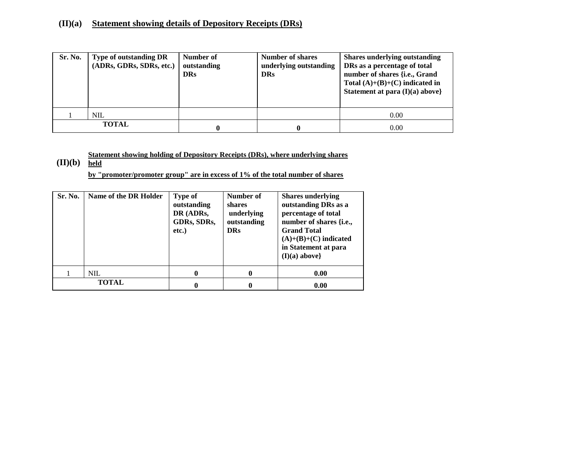#### **(II)(a) Statement showing details of Depository Receipts (DRs)**

| Sr. No. | Type of outstanding DR<br>(ADRs, GDRs, SDRs, etc.) | Number of<br>outstanding<br><b>DRs</b> | <b>Number of shares</b><br>underlying outstanding<br><b>DRs</b> | <b>Shares underlying outstanding</b><br>DRs as a percentage of total<br>number of shares {i.e., Grand<br>Total $(A)+(B)+(C)$ indicated in<br>Statement at para $(I)(a)$ above} |
|---------|----------------------------------------------------|----------------------------------------|-----------------------------------------------------------------|--------------------------------------------------------------------------------------------------------------------------------------------------------------------------------|
|         | <b>NIL</b>                                         |                                        |                                                                 | 0.00                                                                                                                                                                           |
|         | <b>TOTAL</b>                                       |                                        | 0                                                               | 0.00                                                                                                                                                                           |

**Statement showing holding of Depository Receipts (DRs), where underlying shares** 

**(II)(b) held**

**by "promoter/promoter group" are in excess of 1% of the total number of shares**

| Sr. No.      | Name of the DR Holder | <b>Type of</b><br>outstanding<br>DR (ADRs,<br>GDRs, SDRs,<br>etc.) | Number of<br>shares<br>underlying<br>outstanding<br><b>DRs</b> | <b>Shares underlying</b><br>outstanding DRs as a<br>percentage of total<br>number of shares { <i>i.e.</i> ,<br><b>Grand Total</b><br>$(A)+(B)+(C)$ indicated<br>in Statement at para<br>$(I)(a)$ above} |
|--------------|-----------------------|--------------------------------------------------------------------|----------------------------------------------------------------|---------------------------------------------------------------------------------------------------------------------------------------------------------------------------------------------------------|
|              | NIL                   | 0                                                                  | 0                                                              | 0.00                                                                                                                                                                                                    |
| <b>TOTAL</b> |                       |                                                                    | 0                                                              | 0.00                                                                                                                                                                                                    |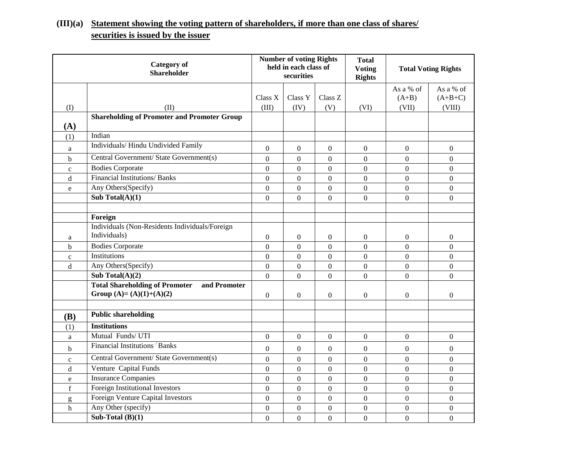# **(III)(a) Statement showing the voting pattern of shareholders, if more than one class of shares/ securities is issued by the issuer**

| <b>Category of</b><br><b>Shareholder</b> |                                                                                   |                  | <b>Number of voting Rights</b><br>held in each class of<br>securities |                  | <b>Total</b><br><b>Voting</b><br><b>Rights</b> | <b>Total Voting Rights</b> |                  |
|------------------------------------------|-----------------------------------------------------------------------------------|------------------|-----------------------------------------------------------------------|------------------|------------------------------------------------|----------------------------|------------------|
|                                          |                                                                                   |                  |                                                                       |                  |                                                | As a % of                  | As a % of        |
|                                          |                                                                                   | Class X          | Class Y                                                               | Class Z          |                                                | $(A+B)$                    | $(A+B+C)$        |
| (I)                                      | (II)<br><b>Shareholding of Promoter and Promoter Group</b>                        | (III)            | (IV)                                                                  | (V)              | (VI)                                           | (VII)                      | (VIII)           |
| (A)                                      |                                                                                   |                  |                                                                       |                  |                                                |                            |                  |
| (1)                                      | Indian                                                                            |                  |                                                                       |                  |                                                |                            |                  |
| a                                        | Individuals/Hindu Undivided Family                                                | $\boldsymbol{0}$ | $\boldsymbol{0}$                                                      | $\boldsymbol{0}$ | $\boldsymbol{0}$                               | $\mathbf{0}$               | $\mathbf{0}$     |
| b                                        | Central Government/ State Government(s)                                           | $\boldsymbol{0}$ | $\boldsymbol{0}$                                                      | $\overline{0}$   | $\overline{0}$                                 | $\boldsymbol{0}$           | $\overline{0}$   |
| $\mathbf{C}$                             | <b>Bodies Corporate</b>                                                           | $\overline{0}$   | $\Omega$                                                              | $\overline{0}$   | $\overline{0}$                                 | $\Omega$                   | $\Omega$         |
| d                                        | Financial Institutions/ Banks                                                     | $\overline{0}$   | $\theta$                                                              | $\overline{0}$   | $\Omega$                                       | $\Omega$                   | $\Omega$         |
| $\mathbf e$                              | Any Others(Specify)                                                               | $\boldsymbol{0}$ | $\boldsymbol{0}$                                                      | $\overline{0}$   | $\boldsymbol{0}$                               | $\boldsymbol{0}$           | $\boldsymbol{0}$ |
|                                          | Sub Total $(A)(1)$                                                                | $\Omega$         | $\overline{0}$                                                        | $\overline{0}$   | $\overline{0}$                                 | $\Omega$                   | $\overline{0}$   |
|                                          |                                                                                   |                  |                                                                       |                  |                                                |                            |                  |
|                                          | Foreign                                                                           |                  |                                                                       |                  |                                                |                            |                  |
|                                          | Individuals (Non-Residents Individuals/Foreign                                    |                  |                                                                       |                  |                                                |                            |                  |
| a                                        | Individuals)                                                                      | 0                | $\boldsymbol{0}$                                                      | 0                | $\boldsymbol{0}$                               | $\boldsymbol{0}$           | $\boldsymbol{0}$ |
| $\mathbf b$                              | <b>Bodies Corporate</b>                                                           | $\overline{0}$   | $\overline{0}$                                                        | $\overline{0}$   | $\boldsymbol{0}$                               | $\overline{0}$             | $\mathbf{0}$     |
| $\mathbf{C}$                             | Institutions                                                                      | $\overline{0}$   | $\overline{0}$                                                        | $\overline{0}$   | $\overline{0}$                                 | $\theta$                   | $\overline{0}$   |
| $\mathbf d$                              | Any Others(Specify)                                                               | $\overline{0}$   | $\overline{0}$                                                        | $\overline{0}$   | $\overline{0}$                                 | $\overline{0}$             | $\overline{0}$   |
|                                          | Sub Total $(A)(2)$                                                                | $\overline{0}$   | $\overline{0}$                                                        | $\overline{0}$   | $\overline{0}$                                 | $\Omega$                   | $\overline{0}$   |
|                                          | <b>Total Shareholding of Promoter</b><br>and Promoter<br>Group (A)= (A)(1)+(A)(2) | $\boldsymbol{0}$ | $\boldsymbol{0}$                                                      | $\boldsymbol{0}$ | $\boldsymbol{0}$                               | $\mathbf{0}$               | $\boldsymbol{0}$ |
| (B)                                      | <b>Public shareholding</b>                                                        |                  |                                                                       |                  |                                                |                            |                  |
| (1)                                      | <b>Institutions</b>                                                               |                  |                                                                       |                  |                                                |                            |                  |
| $\mathbf{a}$                             | Mutual Funds/UTI                                                                  | $\boldsymbol{0}$ | $\mathbf{0}$                                                          | $\boldsymbol{0}$ | $\overline{0}$                                 | $\boldsymbol{0}$           | $\boldsymbol{0}$ |
| $\mathbf b$                              | Financial Institutions Banks                                                      | $\boldsymbol{0}$ | $\boldsymbol{0}$                                                      | $\overline{0}$   | $\overline{0}$                                 | $\boldsymbol{0}$           | $\overline{0}$   |
| $\mathbf{C}$                             | Central Government/ State Government(s)                                           | $\boldsymbol{0}$ | $\boldsymbol{0}$                                                      | $\overline{0}$   | $\boldsymbol{0}$                               | $\boldsymbol{0}$           | $\boldsymbol{0}$ |
| $\rm d$                                  | Venture Capital Funds                                                             | $\overline{0}$   | $\overline{0}$                                                        | $\overline{0}$   | $\overline{0}$                                 | $\overline{0}$             | $\overline{0}$   |
| e                                        | <b>Insurance Companies</b>                                                        | $\overline{0}$   | $\overline{0}$                                                        | $\overline{0}$   | $\boldsymbol{0}$                               | $\boldsymbol{0}$           | $\mathbf{0}$     |
| $\mathbf f$                              | <b>Foreign Institutional Investors</b>                                            | $\overline{0}$   | $\overline{0}$                                                        | $\overline{0}$   | $\boldsymbol{0}$                               | $\boldsymbol{0}$           | $\boldsymbol{0}$ |
| g                                        | Foreign Venture Capital Investors                                                 | $\overline{0}$   | $\overline{0}$                                                        | $\overline{0}$   | $\overline{0}$                                 | $\overline{0}$             | $\boldsymbol{0}$ |
| h                                        | Any Other (specify)                                                               | $\boldsymbol{0}$ | $\boldsymbol{0}$                                                      | $\overline{0}$   | $\boldsymbol{0}$                               | $\boldsymbol{0}$           | $\boldsymbol{0}$ |
|                                          | Sub-Total $(B)(1)$                                                                | $\overline{0}$   | $\overline{0}$                                                        | $\overline{0}$   | $\overline{0}$                                 | $\overline{0}$             | $\overline{0}$   |